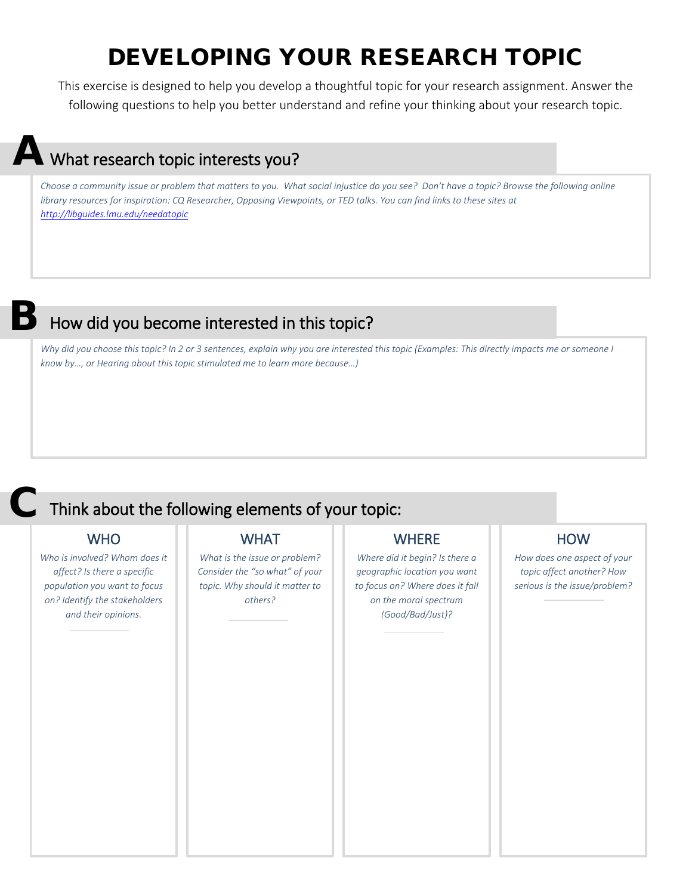## DEVELOPING YOUR RESEARCH TOPIC

This exercise is designed to help you develop a thoughtful topic for your research assignment. Answer the following questions to help you better understand and refine your thinking about your research topic.

# A What research topic interests you?

*Choose a community issue or problem that matters to you. What social injustice do you see? Don't have a topic? Browse the following online library resources for inspiration: CQ Researcher, Opposing Viewpoints, or TED talks. You can find links to these sites at <http://libguides.lmu.edu/needatopic>*

### How did you become interested in this topic?

*Why did you choose this topic? In 2 or 3 sentences, explain why you are interested this topic (Examples: This directly impacts me or someone I know by…, or Hearing about this topic stimulated me to learn more because…)*

### **WHO**

B

C

*Who is involved? Whom does it affect? Is there a specific population you want to focus on? Identify the stakeholders and their opinions.* 

### **WHAT**

Think about the following elements of your topic:

*What is the issue or problem? Consider the "so what" of your topic. Why should it matter to others?* 

### **WHERE**

*Where did it begin? Is there a geographic location you want to focus on? Where does it fall on the moral spectrum (Good/Bad/Just)?* 

### **HOW**

*How does one aspect of your topic affect another? How serious is the issue/problem?*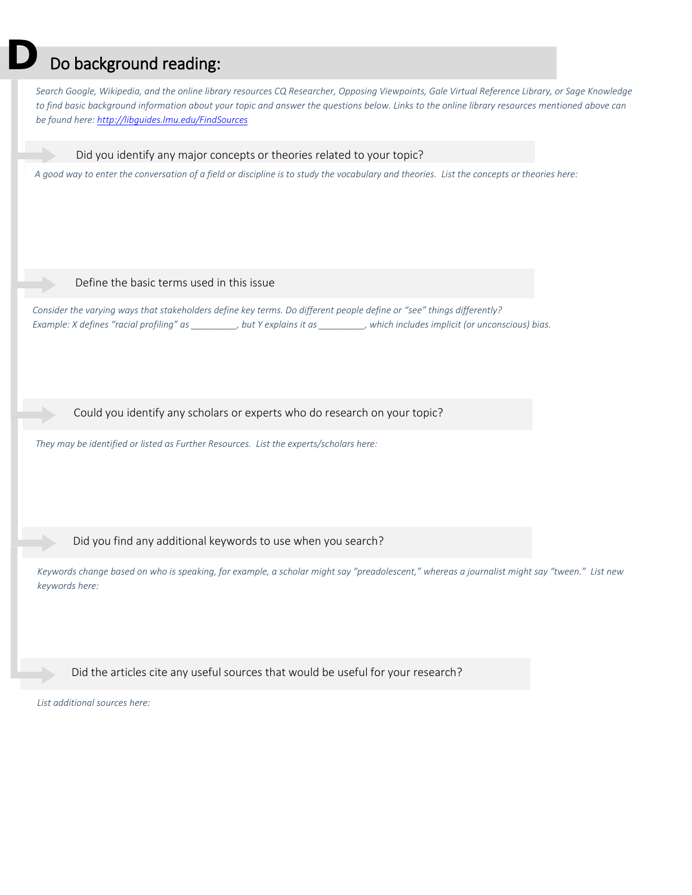### Do background reading:

*Search Google, Wikipedia, and the online library resources CQ Researcher, Opposing Viewpoints, Gale Virtual Reference Library, or Sage Knowledge to find basic background information about your topic and answer the questions below. Links to the online library resources mentioned above can be found here:<http://libguides.lmu.edu/FindSources>*

Did you identify any major concepts or theories related to your topic?

*A good way to enter the conversation of a field or discipline is to study the vocabulary and theories. List the concepts or theories here:*

#### Define the basic terms used in this issue

 *Consider the varying ways that stakeholders define key terms. Do different people define or "see" things differently? Example: X defines "racial profiling" as \_\_\_\_\_\_\_\_\_, but Y explains it as \_\_\_\_\_\_\_\_\_, which includes implicit (or unconscious) bias.*

Could you identify any scholars or experts who do research on your topic?

*They may be identified or listed as Further Resources. List the experts/scholars here:*

### Did you find any additional keywords to use when you search?

*Keywords change based on who is speaking, for example, a scholar might say "preadolescent," whereas a journalist might say "tween." List new keywords here:*

Did the articles cite any useful sources that would be useful for your research?

*List additional sources here:*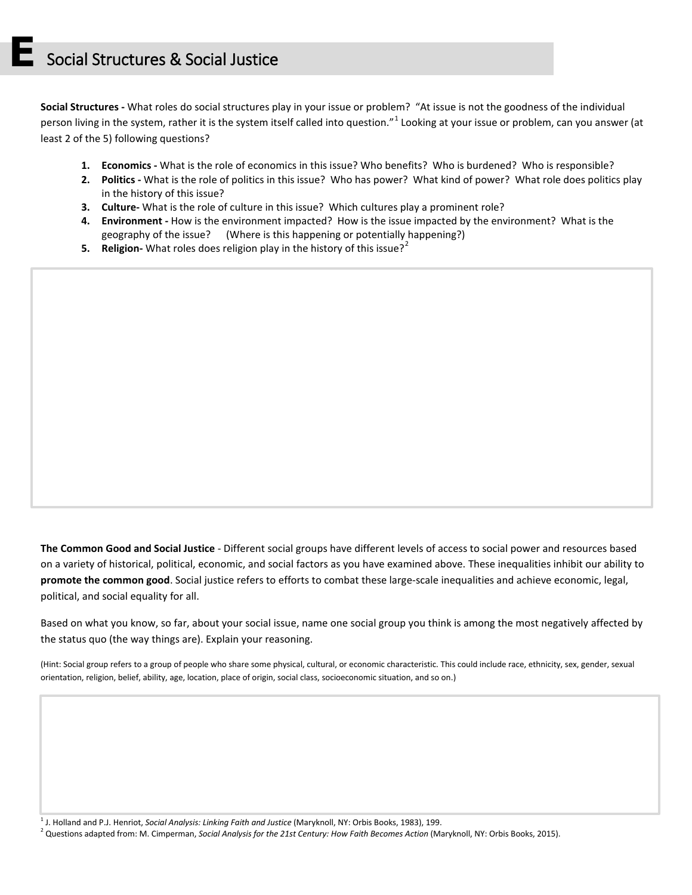**Social Structures -** What roles do social structures play in your issue or problem? "At issue is not the goodness of the individual person living in the system, rather it is the system itself called into question."<sup>[1](#page-2-0)</sup> Looking at your issue or problem, can you answer (at least 2 of the 5) following questions?

- **1. Economics -** What is the role of economics in this issue? Who benefits? Who is burdened? Who is responsible?
- **2. Politics -** What is the role of politics in this issue? Who has power? What kind of power? What role does politics play in the history of this issue?
- **3. Culture-** What is the role of culture in this issue? Which cultures play a prominent role?
- **4. Environment -** How is the environment impacted? How is the issue impacted by the environment? What is the geography of the issue? (Where is this happening or potentially happening?)
- **5. Religion-** What roles does religion play in the history of this issue?<sup>[2](#page-2-1)</sup>

**The Common Good and Social Justice** - Different social groups have different levels of access to social power and resources based on a variety of historical, political, economic, and social factors as you have examined above. These inequalities inhibit our ability to **promote the common good**. Social justice refers to efforts to combat these large-scale inequalities and achieve economic, legal, political, and social equality for all.

Based on what you know, so far, about your social issue, name one social group you think is among the most negatively affected by the status quo (the way things are). Explain your reasoning.

(Hint: Social group refers to a group of people who share some physical, cultural, or economic characteristic. This could include race, ethnicity, sex, gender, sexual orientation, religion, belief, ability, age, location, place of origin, social class, socioeconomic situation, and so on.)

<span id="page-2-0"></span>1 J. Holland and P.J. Henriot, *Social Analysis: Linking Faith and Justice* (Maryknoll, NY: Orbis Books, 1983), 199.

<span id="page-2-1"></span><sup>2</sup> Questions adapted from: M. Cimperman, *Social Analysis for the 21st Century: How Faith Becomes Action* (Maryknoll, NY: Orbis Books, 2015).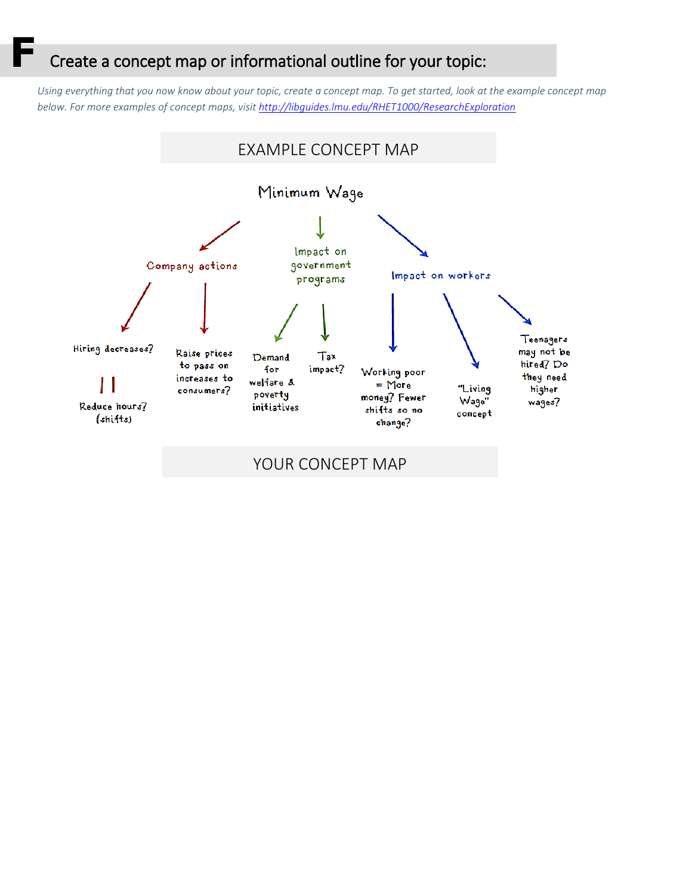### Create a concept map or informational outline for your topic:

*Using everything that you now know about your topic, create a concept map. To get started, look at the example concept map below. For more examples of concept maps, visit<http://libguides.lmu.edu/RHET1000/ResearchExploration>*

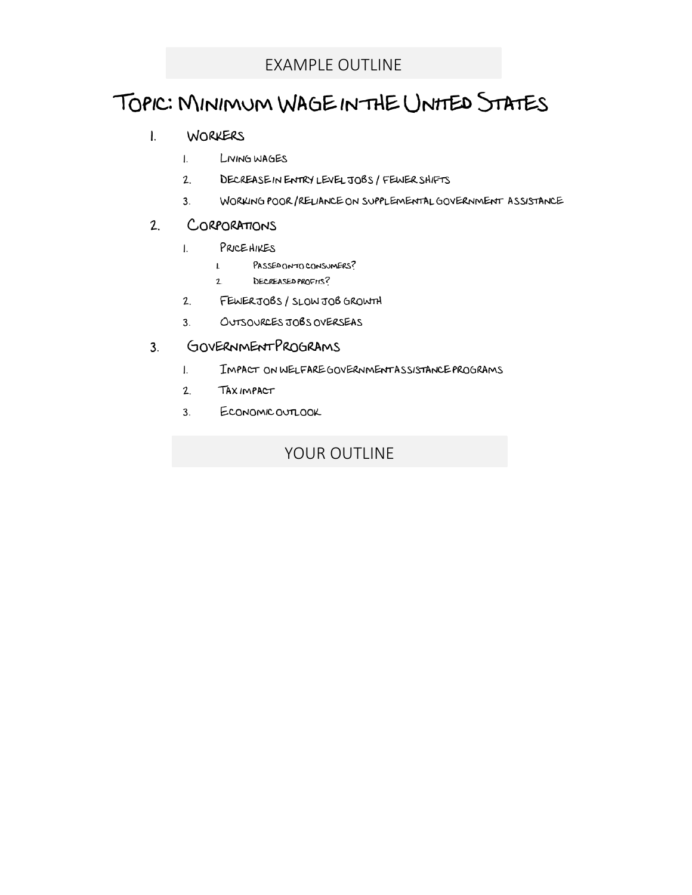## TOPIC: MINIMUM WAGEINTHE UNITED STATES

#### WORKERS  $\mathbf{L}$

- $\mathbf{L}$ LIVING WAGES
- $2.$ DECREASE IN ENTRY LEVEL JOBS / FEWER SHIFTS
- WORKING POOR/RELIANCE ON SUPPLEMENTAL GOVERNMENT ASSISTANCE  $3<sub>1</sub>$

#### $2.$ CORPORATIONS

- PRICEHIKES  $\mathbf{L}$ 
	- PASSED ON TO CONSUMERS?  $\mathbf{L}$
	- $2.$ DECREASED PROFITS?
- $2.$ FEWERJOBS/SLOWJOBGROWTH
- OUTSOURCES JOBS OVERSEAS  $3<sub>1</sub>$

#### GOVERNMENTPROGRAMS  $3<sub>1</sub>$

- $\mathbf{L}$ IMPACT ON WELFARE GOVERNMENTASSISTANCE PROGRAMS
- $2.$ **TAXIMPACT**
- $3.$ ECONOMIC OUTLOOK

### YOUR OUTLINE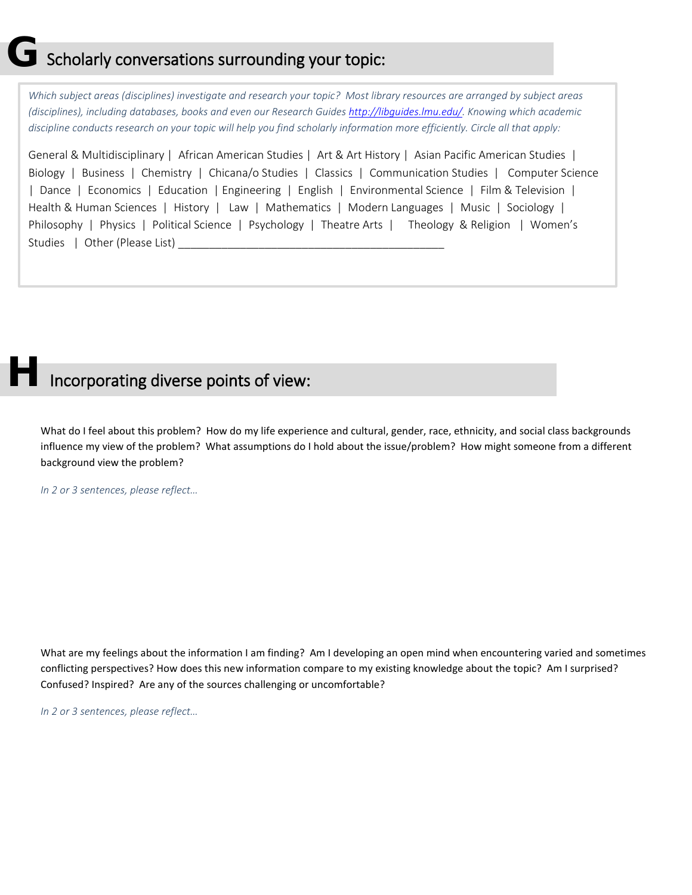## $\overline{\mathbf{J}}$  Scholarly conversations surrounding your topic:

*Which subject areas (disciplines) investigate and research your topic? Most library resources are arranged by subject areas (disciplines), including databases, books and even our Research Guide[s http://libguides.lmu.edu/.](http://libguides.lmu.edu/) Knowing which academic discipline conducts research on your topic will help you find scholarly information more efficiently. Circle all that apply:* 

General & Multidisciplinary | African American Studies | Art & Art History | Asian Pacific American Studies | Biology | Business | Chemistry | Chicana/o Studies | Classics | Communication Studies | Computer Science | Dance | Economics | Education | Engineering | English | Environmental Science | Film & Television | Health & Human Sciences | History | Law | Mathematics | Modern Languages | Music | Sociology | Philosophy | Physics | Political Science | Psychology | Theatre Arts | Theology & Religion | Women's Studies | Other (Please List) \_\_\_\_\_\_\_\_\_\_\_\_\_\_\_\_\_\_\_\_\_\_\_\_\_\_\_\_\_\_\_\_\_\_\_\_\_\_\_\_\_\_\_

## Incorporating diverse points of view:

What do I feel about this problem? How do my life experience and cultural, gender, race, ethnicity, and social class backgrounds influence my view of the problem? What assumptions do I hold about the issue/problem? How might someone from a different background view the problem?

*In 2 or 3 sentences, please reflect…*

What are my feelings about the information I am finding? Am I developing an open mind when encountering varied and sometimes conflicting perspectives? How does this new information compare to my existing knowledge about the topic? Am I surprised? Confused? Inspired? Are any of the sources challenging or uncomfortable?

*In 2 or 3 sentences, please reflect…*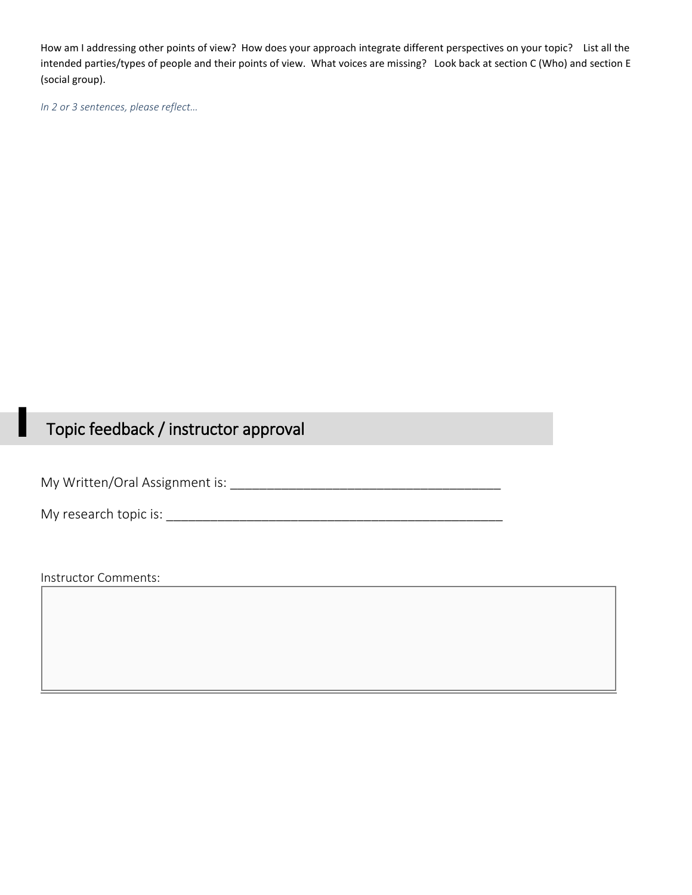How am I addressing other points of view? How does your approach integrate different perspectives on your topic? List all the intended parties/types of people and their points of view. What voices are missing? Look back at section C (Who) and section E (social group).

*In 2 or 3 sentences, please reflect…*

## **I Topic feedback / instructor approval**

My Written/Oral Assignment is: \_\_\_\_\_\_\_\_\_\_\_\_\_\_\_\_\_\_\_\_\_\_\_\_\_\_\_\_\_\_\_\_\_\_\_\_\_

My research topic is: \_\_\_\_\_\_\_\_\_\_\_\_\_\_\_\_\_\_\_\_\_\_\_\_\_\_\_\_\_\_\_\_\_\_\_\_\_\_\_\_\_\_\_\_\_\_

Instructor Comments: